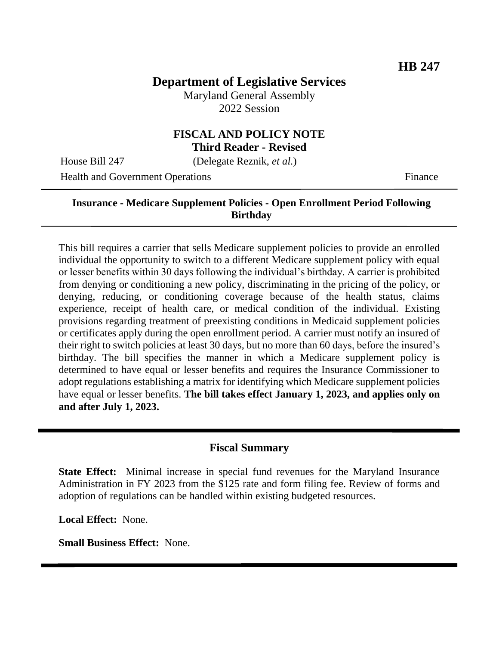# **Department of Legislative Services**

Maryland General Assembly 2022 Session

#### **FISCAL AND POLICY NOTE Third Reader - Revised**

House Bill 247 (Delegate Reznik, *et al.*)

Health and Government Operations Finance

### **Insurance - Medicare Supplement Policies - Open Enrollment Period Following Birthday**

This bill requires a carrier that sells Medicare supplement policies to provide an enrolled individual the opportunity to switch to a different Medicare supplement policy with equal or lesser benefits within 30 days following the individual's birthday. A carrier is prohibited from denying or conditioning a new policy, discriminating in the pricing of the policy, or denying, reducing, or conditioning coverage because of the health status, claims experience, receipt of health care, or medical condition of the individual. Existing provisions regarding treatment of preexisting conditions in Medicaid supplement policies or certificates apply during the open enrollment period. A carrier must notify an insured of their right to switch policies at least 30 days, but no more than 60 days, before the insured's birthday. The bill specifies the manner in which a Medicare supplement policy is determined to have equal or lesser benefits and requires the Insurance Commissioner to adopt regulations establishing a matrix for identifying which Medicare supplement policies have equal or lesser benefits. **The bill takes effect January 1, 2023, and applies only on and after July 1, 2023.**

#### **Fiscal Summary**

**State Effect:** Minimal increase in special fund revenues for the Maryland Insurance Administration in FY 2023 from the \$125 rate and form filing fee. Review of forms and adoption of regulations can be handled within existing budgeted resources.

**Local Effect:** None.

**Small Business Effect:** None.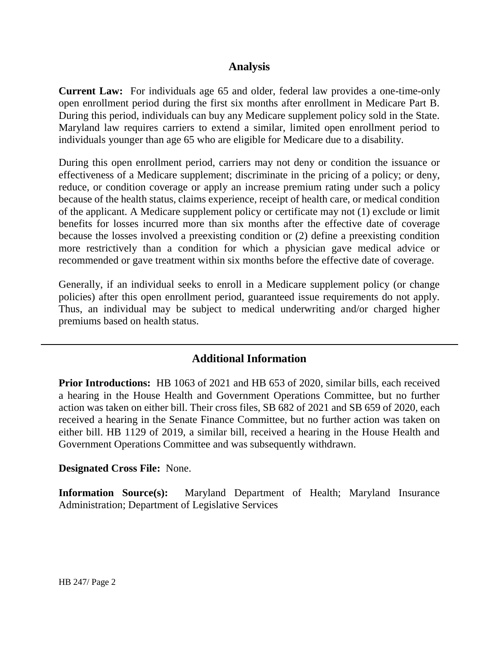### **Analysis**

**Current Law:** For individuals age 65 and older, federal law provides a one-time-only open enrollment period during the first six months after enrollment in Medicare Part B. During this period, individuals can buy any Medicare supplement policy sold in the State. Maryland law requires carriers to extend a similar, limited open enrollment period to individuals younger than age 65 who are eligible for Medicare due to a disability.

During this open enrollment period, carriers may not deny or condition the issuance or effectiveness of a Medicare supplement; discriminate in the pricing of a policy; or deny, reduce, or condition coverage or apply an increase premium rating under such a policy because of the health status, claims experience, receipt of health care, or medical condition of the applicant. A Medicare supplement policy or certificate may not (1) exclude or limit benefits for losses incurred more than six months after the effective date of coverage because the losses involved a preexisting condition or (2) define a preexisting condition more restrictively than a condition for which a physician gave medical advice or recommended or gave treatment within six months before the effective date of coverage.

Generally, if an individual seeks to enroll in a Medicare supplement policy (or change policies) after this open enrollment period, guaranteed issue requirements do not apply. Thus, an individual may be subject to medical underwriting and/or charged higher premiums based on health status.

# **Additional Information**

**Prior Introductions:** HB 1063 of 2021 and HB 653 of 2020, similar bills, each received a hearing in the House Health and Government Operations Committee, but no further action was taken on either bill. Their cross files, SB 682 of 2021 and SB 659 of 2020, each received a hearing in the Senate Finance Committee, but no further action was taken on either bill. HB 1129 of 2019, a similar bill, received a hearing in the House Health and Government Operations Committee and was subsequently withdrawn.

#### **Designated Cross File:** None.

**Information Source(s):** Maryland Department of Health; Maryland Insurance Administration; Department of Legislative Services